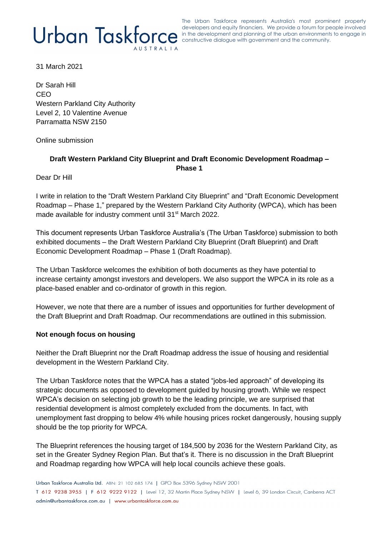The Urban Taskforce represents Australia's most prominent property developers and equity financiers. We provide a forum for people involved developers and equity financiers. We provide a forum for people involved in the development and planning of the urban environments to engage in constructive dialogue with government and the community.

31 March 2021

Dr Sarah Hill CEO Western Parkland City Authority Level 2, 10 Valentine Avenue Parramatta NSW 2150

Online submission

# **Draft Western Parkland City Blueprint and Draft Economic Development Roadmap – Phase 1**

Dear Dr Hill

I write in relation to the "Draft Western Parkland City Blueprint" and "Draft Economic Development Roadmap – Phase 1," prepared by the Western Parkland City Authority (WPCA), which has been made available for industry comment until 31<sup>st</sup> March 2022.

This document represents Urban Taskforce Australia's (The Urban Taskforce) submission to both exhibited documents – the Draft Western Parkland City Blueprint (Draft Blueprint) and Draft Economic Development Roadmap – Phase 1 (Draft Roadmap).

The Urban Taskforce welcomes the exhibition of both documents as they have potential to increase certainty amongst investors and developers. We also support the WPCA in its role as a place-based enabler and co-ordinator of growth in this region.

However, we note that there are a number of issues and opportunities for further development of the Draft Blueprint and Draft Roadmap. Our recommendations are outlined in this submission.

### **Not enough focus on housing**

Neither the Draft Blueprint nor the Draft Roadmap address the issue of housing and residential development in the Western Parkland City.

The Urban Taskforce notes that the WPCA has a stated "jobs-led approach" of developing its strategic documents as opposed to development guided by housing growth. While we respect WPCA's decision on selecting job growth to be the leading principle, we are surprised that residential development is almost completely excluded from the documents. In fact, with unemployment fast dropping to below 4% while housing prices rocket dangerously, housing supply should be the top priority for WPCA.

The Blueprint references the housing target of 184,500 by 2036 for the Western Parkland City, as set in the Greater Sydney Region Plan. But that's it. There is no discussion in the Draft Blueprint and Roadmap regarding how WPCA will help local councils achieve these goals.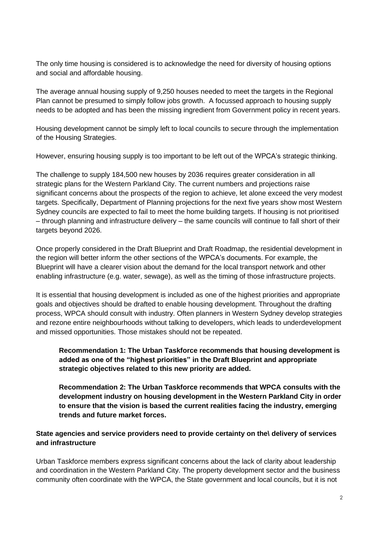The only time housing is considered is to acknowledge the need for diversity of housing options and social and affordable housing.

The average annual housing supply of 9,250 houses needed to meet the targets in the Regional Plan cannot be presumed to simply follow jobs growth. A focussed approach to housing supply needs to be adopted and has been the missing ingredient from Government policy in recent years.

Housing development cannot be simply left to local councils to secure through the implementation of the Housing Strategies.

However, ensuring housing supply is too important to be left out of the WPCA's strategic thinking.

The challenge to supply 184,500 new houses by 2036 requires greater consideration in all strategic plans for the Western Parkland City. The current numbers and projections raise significant concerns about the prospects of the region to achieve, let alone exceed the very modest targets. Specifically, Department of Planning projections for the next five years show most Western Sydney councils are expected to fail to meet the home building targets. If housing is not prioritised – through planning and infrastructure delivery – the same councils will continue to fall short of their targets beyond 2026.

Once properly considered in the Draft Blueprint and Draft Roadmap, the residential development in the region will better inform the other sections of the WPCA's documents. For example, the Blueprint will have a clearer vision about the demand for the local transport network and other enabling infrastructure (e.g. water, sewage), as well as the timing of those infrastructure projects.

It is essential that housing development is included as one of the highest priorities and appropriate goals and objectives should be drafted to enable housing development. Throughout the drafting process, WPCA should consult with industry. Often planners in Western Sydney develop strategies and rezone entire neighbourhoods without talking to developers, which leads to underdevelopment and missed opportunities. Those mistakes should not be repeated.

# **Recommendation 1: The Urban Taskforce recommends that housing development is added as one of the "highest priorities" in the Draft Blueprint and appropriate strategic objectives related to this new priority are added.**

**Recommendation 2: The Urban Taskforce recommends that WPCA consults with the development industry on housing development in the Western Parkland City in order to ensure that the vision is based the current realities facing the industry, emerging trends and future market forces.**

## **State agencies and service providers need to provide certainty on the\ delivery of services and infrastructure**

Urban Taskforce members express significant concerns about the lack of clarity about leadership and coordination in the Western Parkland City. The property development sector and the business community often coordinate with the WPCA, the State government and local councils, but it is not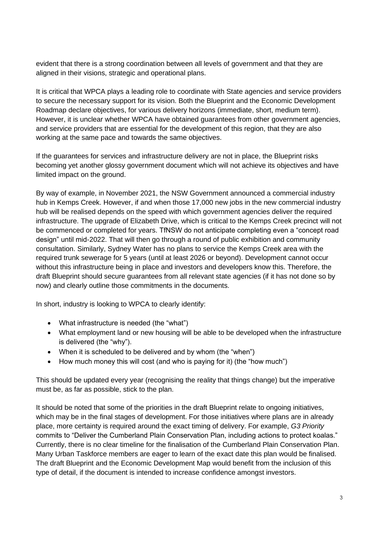evident that there is a strong coordination between all levels of government and that they are aligned in their visions, strategic and operational plans.

It is critical that WPCA plays a leading role to coordinate with State agencies and service providers to secure the necessary support for its vision. Both the Blueprint and the Economic Development Roadmap declare objectives, for various delivery horizons (immediate, short, medium term). However, it is unclear whether WPCA have obtained guarantees from other government agencies, and service providers that are essential for the development of this region, that they are also working at the same pace and towards the same objectives.

If the guarantees for services and infrastructure delivery are not in place, the Blueprint risks becoming yet another glossy government document which will not achieve its objectives and have limited impact on the ground.

By way of example, in November 2021, the NSW Government announced a commercial industry hub in Kemps Creek. However, if and when those 17,000 new jobs in the new commercial industry hub will be realised depends on the speed with which government agencies deliver the required infrastructure. The upgrade of Elizabeth Drive, which is critical to the Kemps Creek precinct will not be commenced or completed for years. TfNSW do not anticipate completing even a "concept road design" until mid-2022. That will then go through a round of public exhibition and community consultation. Similarly, Sydney Water has no plans to service the Kemps Creek area with the required trunk sewerage for 5 years (until at least 2026 or beyond). Development cannot occur without this infrastructure being in place and investors and developers know this. Therefore, the draft Blueprint should secure guarantees from all relevant state agencies (if it has not done so by now) and clearly outline those commitments in the documents.

In short, industry is looking to WPCA to clearly identify:

- What infrastructure is needed (the "what")
- What employment land or new housing will be able to be developed when the infrastructure is delivered (the "why").
- When it is scheduled to be delivered and by whom (the "when")
- How much money this will cost (and who is paying for it) (the "how much")

This should be updated every year (recognising the reality that things change) but the imperative must be, as far as possible, stick to the plan.

It should be noted that some of the priorities in the draft Blueprint relate to ongoing initiatives, which may be in the final stages of development. For those initiatives where plans are in already place, more certainty is required around the exact timing of delivery. For example, *G3 Priority* commits to "Deliver the Cumberland Plain Conservation Plan, including actions to protect koalas." Currently, there is no clear timeline for the finalisation of the Cumberland Plain Conservation Plan. Many Urban Taskforce members are eager to learn of the exact date this plan would be finalised. The draft Blueprint and the Economic Development Map would benefit from the inclusion of this type of detail, if the document is intended to increase confidence amongst investors.